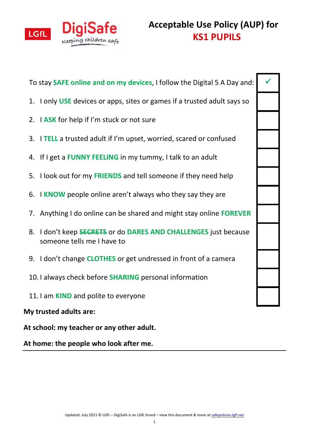

**Acceptable Use Policy (AUP) for KS1 PUPILS**

To stay **SAFE online and on my devices**, I follow the Digital 5 A Day and:

- 1. I only **USE** devices or apps, sites or games if a trusted adult says so
- 2. I **ASK** for help if I'm stuck or not sure
- 3. I **TELL** a trusted adult if I'm upset, worried, scared or confused
- 4. If I get a **FUNNY FEELING** in my tummy, I talk to an adult
- 5. I look out for my **FRIENDS** and tell someone if they need help
- 6. I **KNOW** people online aren't always who they say they are
- 7. Anything I do online can be shared and might stay online **FOREVER**
- 8. I don't keep **SECRETS** or do **DARES AND CHALLENGES** just because someone tells me I have to
- 9. I don't change **CLOTHES** or get undressed in front of a camera
- 10. I always check before **SHARING** personal information
- 11. I am **KIND** and polite to everyone

## **My trusted adults are:**

**At school: my teacher or any other adult.**

**At home: the people who look after me.**